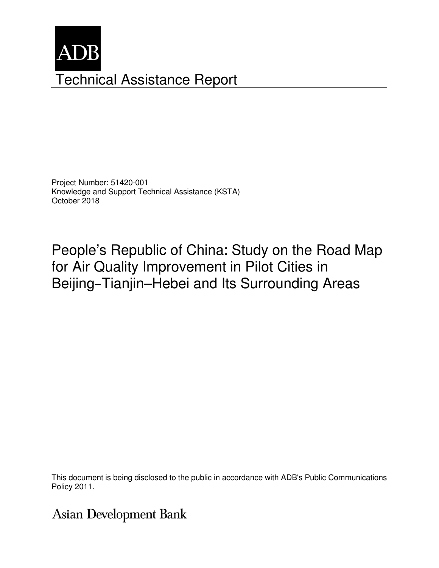

Project Number: 51420-001 Knowledge and Support Technical Assistance (KSTA) October 2018

People's Republic of China: Study on the Road Map for Air Quality Improvement in Pilot Cities in Beijing–Tianjin–Hebei and Its Surrounding Areas

This document is being disclosed to the public in accordance with ADB's Public Communications members, Board of Directors, Management, Management, and may be preliminary in nature. The preliminary in nature. The preliminary in nature. The preliminary in nature. The preliminary in nature. The preliminary in nature.

# Asian Development Bank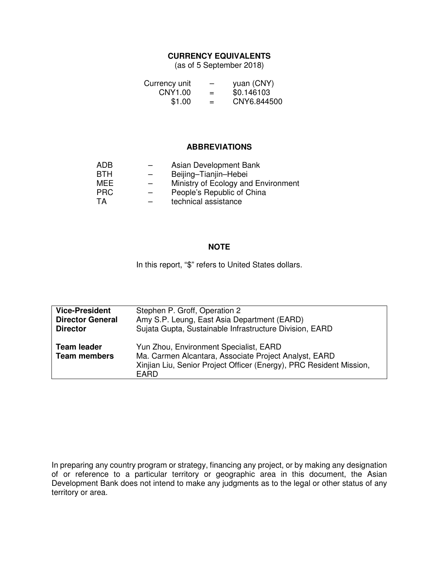### **CURRENCY EQUIVALENTS**

(as of 5 September 2018)

| Currency unit |     | yuan (CNY)  |
|---------------|-----|-------------|
| CNY1.00       | $=$ | \$0.146103  |
| \$1.00        | $=$ | CNY6.844500 |

#### **ABBREVIATIONS**

| ADB        |                          | Asian Development Bank              |
|------------|--------------------------|-------------------------------------|
| <b>BTH</b> |                          | Beijing-Tianjin-Hebei               |
| MEE        | $\overline{\phantom{0}}$ | Ministry of Ecology and Environment |
| <b>PRC</b> |                          | People's Republic of China          |
| TA         |                          | technical assistance                |

#### **NOTE**

In this report, "\$" refers to United States dollars.

| <b>Vice-President</b>                     | Stephen P. Groff, Operation 2                                                                                                                                                  |
|-------------------------------------------|--------------------------------------------------------------------------------------------------------------------------------------------------------------------------------|
| <b>Director General</b>                   | Amy S.P. Leung, East Asia Department (EARD)                                                                                                                                    |
| <b>Director</b>                           | Sujata Gupta, Sustainable Infrastructure Division, EARD                                                                                                                        |
| <b>Team leader</b><br><b>Team members</b> | Yun Zhou, Environment Specialist, EARD<br>Ma. Carmen Alcantara, Associate Project Analyst, EARD<br>Xinjian Liu, Senior Project Officer (Energy), PRC Resident Mission,<br>EARD |

In preparing any country program or strategy, financing any project, or by making any designation of or reference to a particular territory or geographic area in this document, the Asian Development Bank does not intend to make any judgments as to the legal or other status of any territory or area.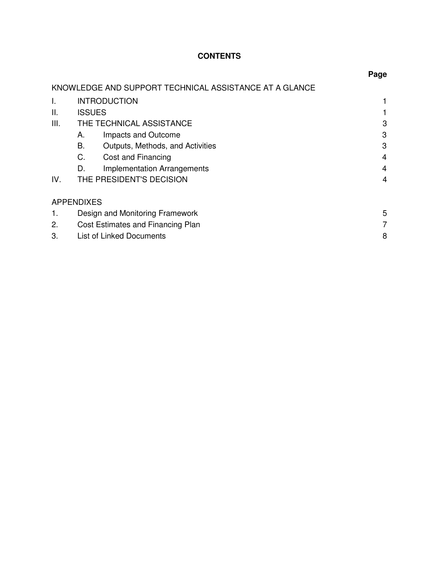# **CONTENTS**

|                   |                                   |                                                        | Page |
|-------------------|-----------------------------------|--------------------------------------------------------|------|
|                   |                                   | KNOWLEDGE AND SUPPORT TECHNICAL ASSISTANCE AT A GLANCE |      |
| Ι.                |                                   | <b>INTRODUCTION</b>                                    |      |
| Ш.                | <b>ISSUES</b>                     |                                                        |      |
| III.              |                                   | THE TECHNICAL ASSISTANCE                               | 3    |
|                   | А.                                | Impacts and Outcome                                    | 3    |
|                   | В.                                | Outputs, Methods, and Activities                       | 3    |
|                   | C.                                | Cost and Financing                                     | 4    |
|                   | D.                                | <b>Implementation Arrangements</b>                     | 4    |
| IV.               |                                   | THE PRESIDENT'S DECISION                               | 4    |
| <b>APPENDIXES</b> |                                   |                                                        |      |
| 1.                | Design and Monitoring Framework   |                                                        |      |
| 2.                | Cost Estimates and Financing Plan |                                                        |      |
| 3.                | <b>List of Linked Documents</b>   |                                                        |      |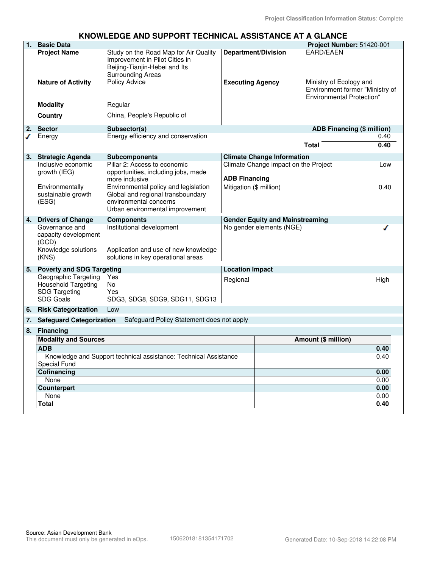#### **KNOWLEDGE AND SUPPORT TECHNICAL ASSISTANCE AT A GLANCE**

| 1. | <b>Basic Data</b>                        |                                                                                                                                      |                                        |                                      | Project Number: 51420-001                                                                      |      |
|----|------------------------------------------|--------------------------------------------------------------------------------------------------------------------------------------|----------------------------------------|--------------------------------------|------------------------------------------------------------------------------------------------|------|
|    | <b>Project Name</b>                      | Study on the Road Map for Air Quality<br>Improvement in Pilot Cities in<br>Beijing-Tianjin-Hebei and Its<br><b>Surrounding Areas</b> |                                        | <b>Department/Division</b>           | <b>EARD/EAEN</b>                                                                               |      |
|    | <b>Nature of Activity</b>                | <b>Policy Advice</b>                                                                                                                 | <b>Executing Agency</b>                |                                      | Ministry of Ecology and<br>Environment former "Ministry of<br><b>Environmental Protection"</b> |      |
|    | <b>Modality</b>                          | Regular                                                                                                                              |                                        |                                      |                                                                                                |      |
|    | Country                                  | China, People's Republic of                                                                                                          |                                        |                                      |                                                                                                |      |
| 2. | <b>Sector</b>                            | Subsector(s)                                                                                                                         |                                        |                                      | ADB Financing (\$ million)                                                                     |      |
|    | Energy                                   | Energy efficiency and conservation                                                                                                   |                                        |                                      |                                                                                                | 0.40 |
|    |                                          |                                                                                                                                      |                                        |                                      | Total                                                                                          | 0.40 |
| 3. | <b>Strategic Agenda</b>                  | <b>Subcomponents</b>                                                                                                                 |                                        | <b>Climate Change Information</b>    |                                                                                                |      |
|    | Inclusive economic                       | Pillar 2: Access to economic                                                                                                         |                                        | Climate Change impact on the Project |                                                                                                | Low  |
|    | growth (IEG)                             | opportunities, including jobs, made                                                                                                  |                                        |                                      |                                                                                                |      |
|    |                                          | more inclusive                                                                                                                       | <b>ADB Financing</b>                   |                                      |                                                                                                |      |
|    | Environmentally                          | Environmental policy and legislation                                                                                                 | Mitigation (\$ million)                |                                      |                                                                                                | 0.40 |
|    | sustainable growth<br>(ESG)              | Global and regional transboundary<br>environmental concerns                                                                          |                                        |                                      |                                                                                                |      |
|    |                                          | Urban environmental improvement                                                                                                      |                                        |                                      |                                                                                                |      |
| 4. | <b>Drivers of Change</b>                 |                                                                                                                                      | <b>Gender Equity and Mainstreaming</b> |                                      |                                                                                                |      |
|    | Governance and                           | <b>Components</b><br>Institutional development                                                                                       |                                        | No gender elements (NGE)             |                                                                                                |      |
|    | capacity development<br>(GCD)            |                                                                                                                                      |                                        |                                      |                                                                                                |      |
|    | Knowledge solutions                      | Application and use of new knowledge                                                                                                 |                                        |                                      |                                                                                                |      |
|    | (KNS)                                    | solutions in key operational areas                                                                                                   |                                        |                                      |                                                                                                |      |
| 5. | <b>Poverty and SDG Targeting</b>         |                                                                                                                                      | <b>Location Impact</b>                 |                                      |                                                                                                |      |
|    | Geographic Targeting                     | Yes                                                                                                                                  | Regional                               |                                      |                                                                                                | High |
|    | Household Targeting                      | <b>No</b>                                                                                                                            |                                        |                                      |                                                                                                |      |
|    | <b>SDG Targeting</b><br><b>SDG Goals</b> | Yes<br>SDG3, SDG8, SDG9, SDG11, SDG13                                                                                                |                                        |                                      |                                                                                                |      |
|    |                                          |                                                                                                                                      |                                        |                                      |                                                                                                |      |
|    | 6. Risk Categorization                   | Low                                                                                                                                  |                                        |                                      |                                                                                                |      |
| 7. | <b>Safeguard Categorization</b>          | Safeguard Policy Statement does not apply                                                                                            |                                        |                                      |                                                                                                |      |
|    | 8. Financing                             |                                                                                                                                      |                                        |                                      |                                                                                                |      |
|    | <b>Modality and Sources</b>              |                                                                                                                                      |                                        | Amount (\$ million)                  |                                                                                                |      |
|    | <b>ADB</b>                               |                                                                                                                                      |                                        |                                      |                                                                                                | 0.40 |
|    | <b>Special Fund</b>                      | Knowledge and Support technical assistance: Technical Assistance                                                                     |                                        |                                      |                                                                                                | 0.40 |
|    | Cofinancing                              |                                                                                                                                      |                                        |                                      |                                                                                                | 0.00 |
|    | None                                     |                                                                                                                                      |                                        |                                      |                                                                                                | 0.00 |
|    | Counterpart                              |                                                                                                                                      |                                        |                                      |                                                                                                | 0.00 |
|    | None                                     |                                                                                                                                      |                                        |                                      |                                                                                                | 0.00 |
|    | <b>Total</b>                             |                                                                                                                                      |                                        |                                      |                                                                                                | 0.40 |
|    |                                          |                                                                                                                                      |                                        |                                      |                                                                                                |      |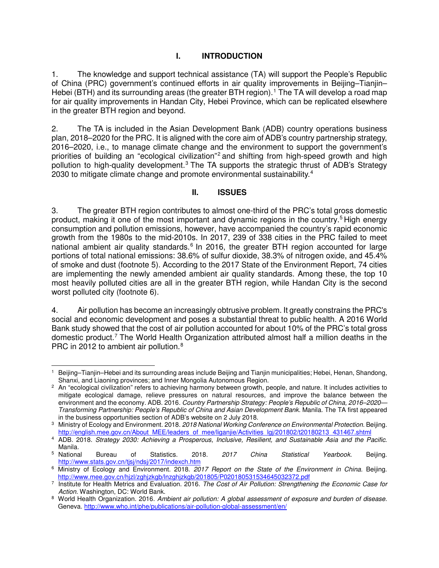## **I. INTRODUCTION**

1. The knowledge and support technical assistance (TA) will support the People's Republic of China (PRC) government's continued efforts in air quality improvements in Beijing–Tianjin– Hebei (BTH) and its surrounding areas (the greater BTH region).<sup>[1](#page-4-0)</sup> The TA will develop a road map for air quality improvements in Handan City, Hebei Province, which can be replicated elsewhere in the greater BTH region and beyond.

2. The TA is included in the Asian Development Bank (ADB) country operations business plan, 2018–2020 for the PRC. It is aligned with the core aim of ADB's country partnership strategy, 2016–2020, i.e., to manage climate change and the environment to support the government's priorities of building an "ecological civilization"<sup>2</sup> and shifting from high-speed growth and high pollution to high-quality development.<sup>[3](#page-4-2)</sup> The TA supports the strategic thrust of ADB's Strategy 2030 to mitigate climate change and promote environmental sustainability.<sup>[4](#page-4-3)</sup>

#### **II. ISSUES**

3. The greater BTH region contributes to almost one-third of the PRC's total gross domestic product, making it one of the most important and dynamic regions in the country.<sup>5</sup> High energy consumption and pollution emissions, however, have accompanied the country's rapid economic growth from the 1980s to the mid-2010s. In 2017, 239 of 338 cities in the PRC failed to meet national ambient air quality standards.<sup>[6](#page-4-5)</sup> In 2016, the greater BTH region accounted for large portions of total national emissions: 38.6% of sulfur dioxide, 38.3% of nitrogen oxide, and 45.4% of smoke and dust (footnote 5). According to the 2017 State of the Environment Report, 74 cities are implementing the newly amended ambient air quality standards. Among these, the top 10 most heavily polluted cities are all in the greater BTH region, while Handan City is the second worst polluted city (footnote 6).

4. Air pollution has become an increasingly obtrusive problem. It greatly constrains the PRC's social and economic development and poses a substantial threat to public health. A 2016 World Bank study showed that the cost of air pollution accounted for about 10% of the PRC's total gross domestic product.<sup>[7](#page-4-6)</sup> The World Health Organization attributed almost half a million deaths in the PRC in 2012 to ambient air pollution.<sup>[8](#page-4-7)</sup>

<span id="page-4-0"></span> <sup>1</sup> Beijing–Tianjin–Hebei and its surrounding areas include Beijing and Tianjin municipalities; Hebei, Henan, Shandong, Shanxi, and Liaoning provinces; and Inner Mongolia Autonomous Region.

<span id="page-4-1"></span><sup>2</sup> An "ecological civilization" refers to achieving harmony between growth, people, and nature. It includes activities to mitigate ecological damage, relieve pressures on natural resources, and improve the balance between the environment and the economy. ADB. 2016. *Country Partnership Strategy: People's Republic of China, 2016–2020— Transforming Partnership: People's Republic of China and Asian Development Bank*. Manila. The TA first appeared in the business opportunities section of ADB's website on 2 July 2018.

<span id="page-4-2"></span><sup>3</sup> Ministry of Ecology and Environment. 2018. *2018 National Working Conference on Environmental Protection.* Beijing. [http://english.mee.gov.cn/About\\_MEE/leaders\\_of\\_mee/liganjie/Activities\\_lgj/201802/t20180213\\_431467.shtml](http://english.mee.gov.cn/About_MEE/leaders_of_mee/liganjie/Activities_lgj/201802/t20180213_431467.shtml)

<span id="page-4-3"></span><sup>4</sup> ADB. 2018. *Strategy 2030: Achieving a Prosperous, Inclusive, Resilient, and Sustainable Asia and the Pacific*. Manila.<br>5 National

<span id="page-4-4"></span><sup>5</sup> National Bureau of Statistics. 2018. *2017 China Statistical Yearbook.* Beijing. <http://www.stats.gov.cn/tjsj/ndsj/2017/indexch.htm>

<span id="page-4-5"></span><sup>6</sup>Ministry of Ecology and Environment. 2018. *2017 [Report on the State of the Environment in China.](http://english.sepa.gov.cn/Resources/Reports/soe/)* Beijing. <http://www.mee.gov.cn/hjzl/zghjzkgb/lnzghjzkgb/201805/P020180531534645032372.pdf>

<span id="page-4-6"></span><sup>7</sup> Institute for Health Metrics and Evaluation. 2016. *The Cost of Air Pollution: Strengthening the Economic Case for Action.* Washington, DC: World Bank.

<span id="page-4-7"></span><sup>&</sup>lt;sup>8</sup> World Health Organization. 2016. Ambient air pollution: A global assessment of exposure and burden of disease. Geneva[. http://www.who.int/phe/publications/air-pollution-global-assessment/en/](http://www.who.int/phe/publications/air-pollution-global-assessment/en/)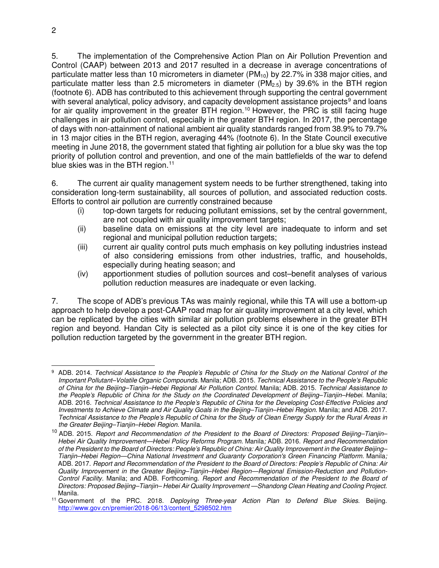5. The implementation of the Comprehensive Action Plan on Air Pollution Prevention and Control (CAAP) between 2013 and 2017 resulted in a decrease in average concentrations of particulate matter less than 10 micrometers in diameter ( $PM_{10}$ ) by 22.7% in 338 major cities, and particulate matter less than 2.5 micrometers in diameter ( $PM<sub>2.5</sub>$ ) by 39.6% in the BTH region (footnote 6). ADB has contributed to this achievement through supporting the central government with several analytical, policy advisory, and capacity development assistance projects<sup>[9](#page-5-0)</sup> and loans for air quality improvement in the greater BTH region.<sup>[10](#page-5-1)</sup> However, the PRC is still facing huge challenges in air pollution control, especially in the greater BTH region. In 2017, the percentage of days with non-attainment of national ambient air quality standards ranged from 38.9% to 79.7% in 13 major cities in the BTH region, averaging 44% (footnote 6). In the State Council executive meeting in June 2018, the government stated that fighting air pollution for a blue sky was the top priority of pollution control and prevention, and one of the main battlefields of the war to defend blue skies was in the BTH region. $11$ 

6. The current air quality management system needs to be further strengthened, taking into consideration long-term sustainability, all sources of pollution, and associated reduction costs. Efforts to control air pollution are currently constrained because

- (i) top-down targets for reducing pollutant emissions, set by the central government, are not coupled with air quality improvement targets;
- (ii) baseline data on emissions at the city level are inadequate to inform and set regional and municipal pollution reduction targets;
- (iii) current air quality control puts much emphasis on key polluting industries instead of also considering emissions from other industries, traffic, and households, especially during heating season; and
- (iv) apportionment studies of pollution sources and cost–benefit analyses of various pollution reduction measures are inadequate or even lacking.

7. The scope of ADB's previous TAs was mainly regional, while this TA will use a bottom-up approach to help develop a post-CAAP road map for air quality improvement at a city level, which can be replicated by the cities with similar air pollution problems elsewhere in the greater BTH region and beyond. Handan City is selected as a pilot city since it is one of the key cities for pollution reduction targeted by the government in the greater BTH region.

<span id="page-5-0"></span> <sup>9</sup> ADB. 2014. *Technical Assistance to the People's Republic of China for the Study on the National Control of the Important Pollutant–Volatile Organic Compounds*. Manila; ADB. 2015. *Technical Assistance to the People's Republic of China for the Beijing–Tianjin–Hebei Regional Air Pollution Control*. Manila; ADB. 2015. *Technical Assistance to the People's Republic of China for the Study on the Coordinated Development of Beijing–Tianjin–Hebei*. Manila; ADB. 2016. *Technical Assistance to the People's Republic of China for the Developing Cost-Effective Policies and Investments to Achieve Climate and Air Quality Goals in the Beijing–Tianjin–Hebei Region*. Manila; and ADB. 2017. *Technical Assistance to the People's Republic of China for the Study of Clean Energy Supply for the Rural Areas in the Greater Beijing–Tianjin–Hebei Region*. Manila.

<span id="page-5-1"></span><sup>10</sup> ADB. 2015. *Report and Recommendation of the President to the Board of Directors: Proposed Beijing–Tianjin– Hebei Air Quality Improvement—Hebei Policy Reforms Program.* Manila*;* ADB. 2016. *Report and Recommendation of the President to the Board of Directors: People's Republic of China: Air Quality Improvement in the Greater Beijing– Tianjin–Hebei Region—China National Investment and Guaranty Corporation's Green Financing Platform.* Manila*;*  ADB. 2017. *Report and Recommendation of the President to the Board of Directors: People's Republic of China: Air Quality Improvement in the Greater Beijing–Tianjin–Hebei Region—Regional Emission-Reduction and Pollution-Control Facility.* Manila; and ADB. Forthcoming. *Report and Recommendation of the President to the Board of Directors: Proposed Beijing–Tianjin– Hebei Air Quality Improvement —Shandong Clean Heating and Cooling Project.* Manila.

<span id="page-5-2"></span><sup>11</sup> Government of the PRC. 2018. *Deploying Three-year Action Plan to Defend Blue Skies*. Beijing. [http://www.gov.cn/premier/2018-06/13/content\\_5298502.htm](http://www.gov.cn/premier/2018-06/13/content_5298502.htm)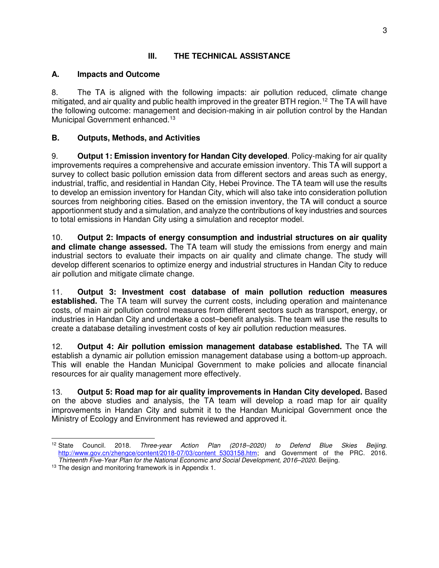## **III. THE TECHNICAL ASSISTANCE**

### **A. Impacts and Outcome**

8. The TA is aligned with the following impacts: air pollution reduced, climate change mitigated, and air quality and public health improved in the greater BTH region. [12](#page-6-0) The TA will have the following outcome: management and decision-making in air pollution control by the Handan Municipal Government enhanced.<sup>[13](#page-6-1)</sup>

## **B. Outputs, Methods, and Activities**

9. **Output 1: Emission inventory for Handan City developed**. Policy-making for air quality improvements requires a comprehensive and accurate emission inventory. This TA will support a survey to collect basic pollution emission data from different sectors and areas such as energy, industrial, traffic, and residential in Handan City, Hebei Province. The TA team will use the results to develop an emission inventory for Handan City, which will also take into consideration pollution sources from neighboring cities. Based on the emission inventory, the TA will conduct a source apportionment study and a simulation, and analyze the contributions of key industries and sources to total emissions in Handan City using a simulation and receptor model.

10. **Output 2: Impacts of energy consumption and industrial structures on air quality and climate change assessed.** The TA team will study the emissions from energy and main industrial sectors to evaluate their impacts on air quality and climate change. The study will develop different scenarios to optimize energy and industrial structures in Handan City to reduce air pollution and mitigate climate change.

11. **Output 3: Investment cost database of main pollution reduction measures established.** The TA team will survey the current costs, including operation and maintenance costs, of main air pollution control measures from different sectors such as transport, energy, or industries in Handan City and undertake a cost–benefit analysis. The team will use the results to create a database detailing investment costs of key air pollution reduction measures.

12. **Output 4: Air pollution emission management database established.** The TA will establish a dynamic air pollution emission management database using a bottom-up approach. This will enable the Handan Municipal Government to make policies and allocate financial resources for air quality management more effectively.

13. **Output 5: Road map for air quality improvements in Handan City developed.** Based on the above studies and analysis, the TA team will develop a road map for air quality improvements in Handan City and submit it to the Handan Municipal Government once the Ministry of Ecology and Environment has reviewed and approved it.

<span id="page-6-0"></span><sup>&</sup>lt;sup>12</sup> State <sup>12</sup> State Council. 2018. *Three-year Action Plan (2018–2020) to Defend Blue Skies Beijing*. http://www.gov.cn/zhengce/content/2018-07/03/content 5303158.htm; and Government of the PRC. 2016. *Thirteenth Five-Year Plan for the National Economic and Social Development, 2016–2020*. Beijing.

<span id="page-6-1"></span><sup>&</sup>lt;sup>13</sup> The design and monitoring framework is in Appendix 1.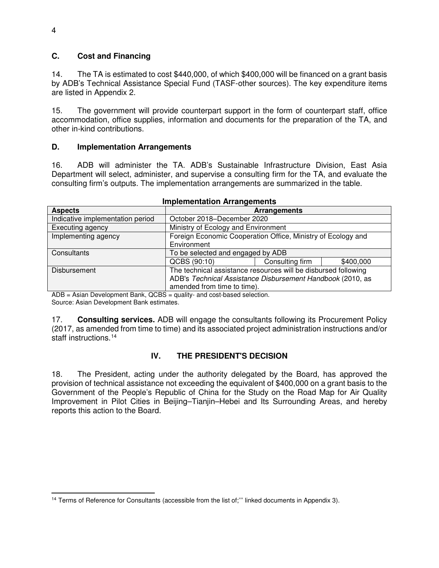#### **C. Cost and Financing**

14. The TA is estimated to cost \$440,000, of which \$400,000 will be financed on a grant basis by ADB's Technical Assistance Special Fund (TASF-other sources). The key expenditure items are listed in Appendix 2.

15. The government will provide counterpart support in the form of counterpart staff, office accommodation, office supplies, information and documents for the preparation of the TA, and other in-kind contributions.

#### **D. Implementation Arrangements**

16. ADB will administer the TA. ADB's Sustainable Infrastructure Division, East Asia Department will select, administer, and supervise a consulting firm for the TA, and evaluate the consulting firm's outputs. The implementation arrangements are summarized in the table.

| <b>Aspects</b>                   | Arrangements                                                                                                                                                |                 |           |
|----------------------------------|-------------------------------------------------------------------------------------------------------------------------------------------------------------|-----------------|-----------|
| Indicative implementation period | October 2018–December 2020                                                                                                                                  |                 |           |
| Executing agency                 | Ministry of Ecology and Environment                                                                                                                         |                 |           |
| Implementing agency              | Foreign Economic Cooperation Office, Ministry of Ecology and<br>Environment                                                                                 |                 |           |
| Consultants                      | To be selected and engaged by ADB                                                                                                                           |                 |           |
|                                  | QCBS (90:10)                                                                                                                                                | Consulting firm | \$400,000 |
| Disbursement                     | The technical assistance resources will be disbursed following<br>ADB's Technical Assistance Disbursement Handbook (2010, as<br>amended from time to time). |                 |           |

#### **Implementation Arrangements**

ADB = Asian Development Bank, QCBS = quality- and cost-based selection. Source: Asian Development Bank estimates.

17. **Consulting services.** ADB will engage the consultants following its Procurement Policy (2017, as amended from time to time) and its associated project administration instructions and/or staff instructions.<sup>[14](#page-7-0)</sup>

## **IV. THE PRESIDENT'S DECISION**

18. The President, acting under the authority delegated by the Board, has approved the provision of technical assistance not exceeding the equivalent of \$400,000 on a grant basis to the Government of the People's Republic of China for the Study on the Road Map for Air Quality Improvement in Pilot Cities in Beijing–Tianjin–Hebei and Its Surrounding Areas, and hereby reports this action to the Board.

<span id="page-7-0"></span><sup>-</sup><sup>14</sup> Terms of Reference for Consultants (accessible from the list of;" linked documents in Appendix 3).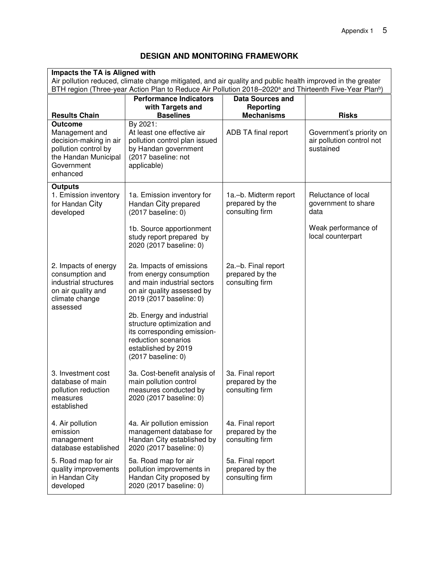# **DESIGN AND MONITORING FRAMEWORK**

| Impacts the TA is Aligned with                                                                                                                                                                                                               |                                                                                                                                                            |                                                             |                                                    |
|----------------------------------------------------------------------------------------------------------------------------------------------------------------------------------------------------------------------------------------------|------------------------------------------------------------------------------------------------------------------------------------------------------------|-------------------------------------------------------------|----------------------------------------------------|
| Air pollution reduced, climate change mitigated, and air quality and public health improved in the greater<br>BTH region (Three-year Action Plan to Reduce Air Pollution 2018-2020 <sup>a</sup> and Thirteenth Five-Year Plan <sup>b</sup> ) |                                                                                                                                                            |                                                             |                                                    |
| <b>Performance Indicators</b><br><b>Data Sources and</b>                                                                                                                                                                                     |                                                                                                                                                            |                                                             |                                                    |
| <b>Results Chain</b>                                                                                                                                                                                                                         | with Targets and<br><b>Baselines</b>                                                                                                                       | <b>Reporting</b><br><b>Mechanisms</b>                       | <b>Risks</b>                                       |
| <b>Outcome</b><br>Management and                                                                                                                                                                                                             | By 2021:<br>At least one effective air                                                                                                                     | ADB TA final report                                         | Government's priority on                           |
| decision-making in air<br>pollution control by<br>the Handan Municipal<br>Government<br>enhanced                                                                                                                                             | pollution control plan issued<br>by Handan government<br>(2017 baseline: not<br>applicable)                                                                |                                                             | air pollution control not<br>sustained             |
| <b>Outputs</b>                                                                                                                                                                                                                               |                                                                                                                                                            |                                                             |                                                    |
| 1. Emission inventory<br>for Handan City<br>developed                                                                                                                                                                                        | 1a. Emission inventory for<br>Handan City prepared<br>$(2017)$ baseline: 0)                                                                                | 1a.-b. Midterm report<br>prepared by the<br>consulting firm | Reluctance of local<br>government to share<br>data |
|                                                                                                                                                                                                                                              | 1b. Source apportionment<br>study report prepared by<br>2020 (2017 baseline: 0)                                                                            |                                                             | Weak performance of<br>local counterpart           |
| 2. Impacts of energy<br>consumption and<br>industrial structures<br>on air quality and<br>climate change<br>assessed                                                                                                                         | 2a. Impacts of emissions<br>from energy consumption<br>and main industrial sectors<br>on air quality assessed by<br>2019 (2017 baseline: 0)                | 2a.-b. Final report<br>prepared by the<br>consulting firm   |                                                    |
|                                                                                                                                                                                                                                              | 2b. Energy and industrial<br>structure optimization and<br>its corresponding emission-<br>reduction scenarios<br>established by 2019<br>(2017 baseline: 0) |                                                             |                                                    |
| 3. Investment cost<br>database of main<br>pollution reduction<br>measures<br>established                                                                                                                                                     | 3a. Cost-benefit analysis of<br>main pollution control<br>measures conducted by<br>2020 (2017 baseline: 0)                                                 | 3a. Final report<br>prepared by the<br>consulting firm      |                                                    |
| 4. Air pollution<br>emission<br>management<br>database established                                                                                                                                                                           | 4a. Air pollution emission<br>management database for<br>Handan City established by<br>2020 (2017 baseline: 0)                                             | 4a. Final report<br>prepared by the<br>consulting firm      |                                                    |
| 5. Road map for air<br>quality improvements<br>in Handan City<br>developed                                                                                                                                                                   | 5a. Road map for air<br>pollution improvements in<br>Handan City proposed by<br>2020 (2017 baseline: 0)                                                    | 5a. Final report<br>prepared by the<br>consulting firm      |                                                    |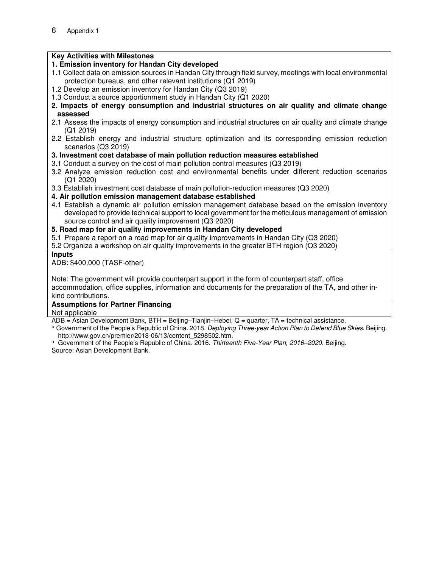## **Key Activities with Milestones**

## **1. Emission inventory for Handan City developed**

- 1.1 Collect data on emission sources in Handan City through field survey, meetings with local environmental protection bureaus, and other relevant institutions (Q1 2019)
- 1.2 Develop an emission inventory for Handan City (Q3 2019)
- 1.3 Conduct a source apportionment study in Handan City (Q1 2020)
- **2. Impacts of energy consumption and industrial structures on air quality and climate change assessed**
- 2.1 Assess the impacts of energy consumption and industrial structures on air quality and climate change (Q1 2019)
- 2.2 Establish energy and industrial structure optimization and its corresponding emission reduction scenarios (Q3 2019)
- **3. Investment cost database of main pollution reduction measures established**
- 3.1 Conduct a survey on the cost of main pollution control measures (Q3 2019)
- 3.2 Analyze emission reduction cost and environmental benefits under different reduction scenarios (Q1 2020)
- 3.3 Establish investment cost database of main pollution-reduction measures (Q3 2020)
- **4. Air pollution emission management database established**
- 4.1 Establish a dynamic air pollution emission management database based on the emission inventory developed to provide technical support to local government for the meticulous management of emission source control and air quality improvement (Q3 2020)
- **5. Road map for air quality improvements in Handan City developed**
- 5.1 Prepare a report on a road map for air quality improvements in Handan City (Q3 2020)
- 5.2 Organize a workshop on air quality improvements in the greater BTH region (Q3 2020)

#### **Inputs**

ADB: \$400,000 (TASF-other)

Note: The government will provide counterpart support in the form of counterpart staff, office

accommodation, office supplies, information and documents for the preparation of the TA, and other inkind contributions.

#### **Assumptions for Partner Financing**

Not applicable

 $ADB = Asian Development Bank, BTH = Beijing-Tianjin-Hebei, Q = quarter, TA = technical assistance.$ 

- <sup>a</sup> Government of the People's Republic of China. 2018. *Deploying Three-year Action Plan to Defend Blue Skies*. Beijing. http://www.gov.cn/premier/2018-06/13/content\_5298502.htm.
- <sup>b</sup> Government of the People's Republic of China. 2016. *Thirteenth Five-Year Plan, 2016–2020.* Beijing. Source: Asian Development Bank.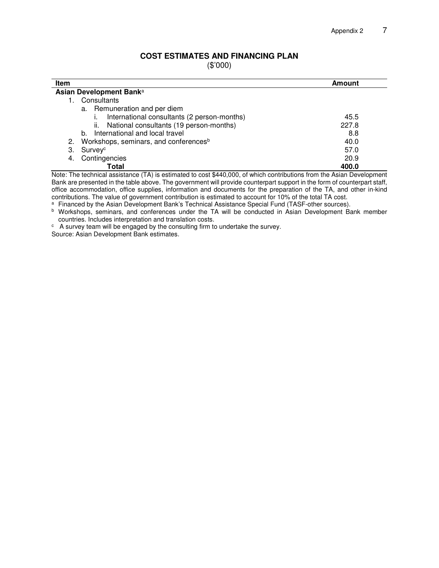## **COST ESTIMATES AND FINANCING PLAN**

(\$'000)

| <b>Item</b>                                                                                                              | Amount |  |  |  |  |
|--------------------------------------------------------------------------------------------------------------------------|--------|--|--|--|--|
| Asian Development Bank <sup>a</sup>                                                                                      |        |  |  |  |  |
| Consultants                                                                                                              |        |  |  |  |  |
| a. Remuneration and per diem                                                                                             |        |  |  |  |  |
| International consultants (2 person-months)                                                                              | 45.5   |  |  |  |  |
| National consultants (19 person-months)<br>II.                                                                           | 227.8  |  |  |  |  |
| International and local travel<br>b.                                                                                     | 8.8    |  |  |  |  |
| Workshops, seminars, and conferences <sup>b</sup><br>2.                                                                  | 40.0   |  |  |  |  |
| З.<br>Surveyc                                                                                                            | 57.0   |  |  |  |  |
| Contingencies<br>4.                                                                                                      | 20.9   |  |  |  |  |
| Total                                                                                                                    | 400.0  |  |  |  |  |
| Note: The technical assistance (TA) is estimated to cost \$440,000, of which contributions from the Asian Development    |        |  |  |  |  |
| Raple are presented in the table above. The government will provide counterpart cuppert in the ferm of counterpart staff |        |  |  |  |  |

Bank are presented in the table above. The government will provide counterpart support in the form of counterpart staff, office accommodation, office supplies, information and documents for the preparation of the TA, and other in-kind contributions. The value of government contribution is estimated to account for 10% of the total TA cost.

a Financed by the Asian Development Bank's Technical Assistance Special Fund (TASF-other sources).

b Workshops, seminars, and conferences under the TA will be conducted in Asian Development Bank member countries. Includes interpretation and translation costs.

 $\degree$  A survey team will be engaged by the consulting firm to undertake the survey.

Source: Asian Development Bank estimates.